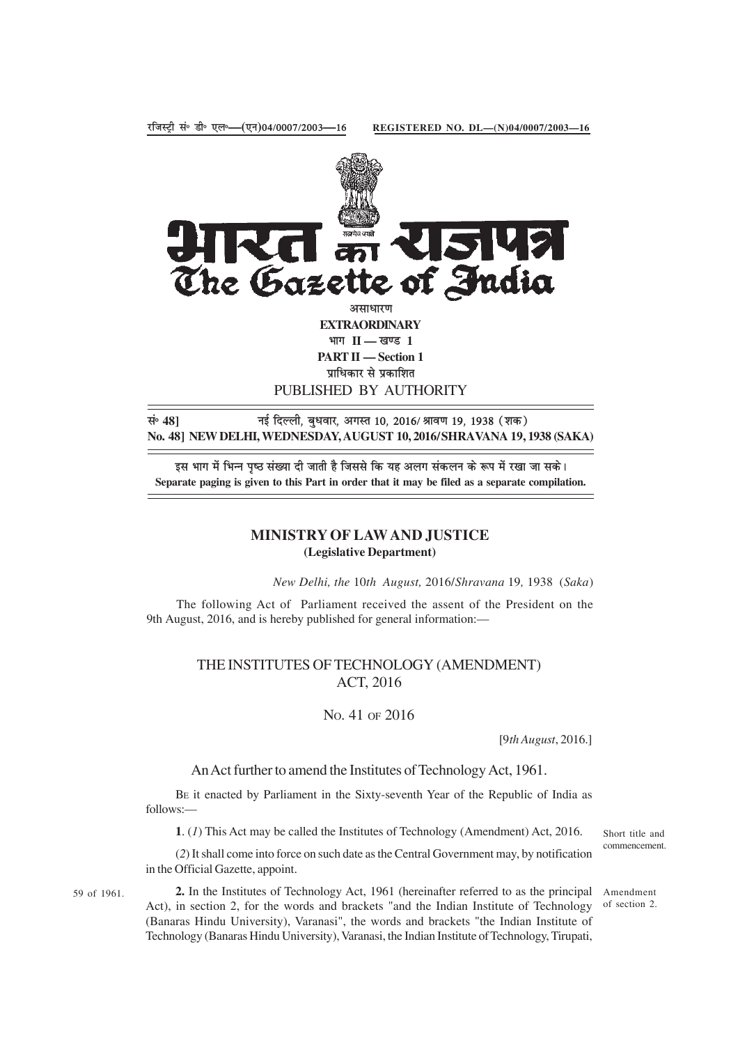

PUBLISHED BY AUTHORITY

सं॰ 48] <sup>मुं स्कु</sup> दिल्ली, बुधवार, अगस्त 10, 2016/ श्रावण 19, 1938 (शक) **No. 48] NEW DELHI, WEDNESDAY, AUGUST 10, 2016/SHRAVANA 19, 1938 (SAKA)**

इस भाग में भिन्न पष्ठ संख्या दी जाती है जिससे कि यह अलग संकलन के रूप में रखा जा सके। **Separate paging is given to this Part in order that it may be filed as a separate compilation.**

## **MINISTRY OF LAW AND JUSTICE (Legislative Department)**

*New Delhi, the* 10*th August,* 2016/*Shravana* 19*,* 1938 (*Saka*)

The following Act of Parliament received the assent of the President on the 9th August, 2016, and is hereby published for general information:—

## THE INSTITUTES OF TECHNOLOGY (AMENDMENT) ACT, 2016

## NO. 41 OF 2016

[9*th August*, 2016.]

An Act further to amend the Institutes of Technology Act, 1961.

BE it enacted by Parliament in the Sixty-seventh Year of the Republic of India as follows:—

**1**. (*1*) This Act may be called the Institutes of Technology (Amendment) Act, 2016.

(*2*) It shall come into force on such date as the Central Government may, by notification in the Official Gazette, appoint.

59 of 1961.

2. In the Institutes of Technology Act, 1961 (hereinafter referred to as the principal Amendment Act), in section 2, for the words and brackets "and the Indian Institute of Technology (Banaras Hindu University), Varanasi", the words and brackets "the Indian Institute of Technology (Banaras Hindu University), Varanasi, the Indian Institute of Technology, Tirupati,

Short title and commencement.

of section 2.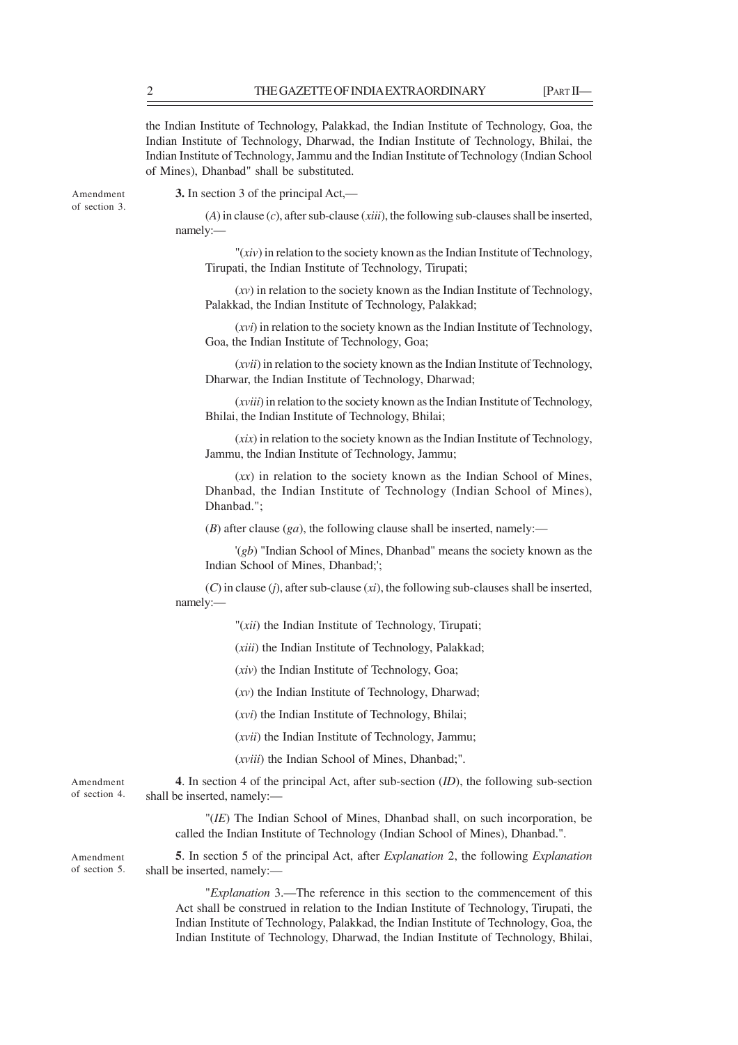the Indian Institute of Technology, Palakkad, the Indian Institute of Technology, Goa, the Indian Institute of Technology, Dharwad, the Indian Institute of Technology, Bhilai, the Indian Institute of Technology, Jammu and the Indian Institute of Technology (Indian School of Mines), Dhanbad" shall be substituted.

Amendment of section 3. **3.** In section 3 of the principal Act,—

(*A*) in clause (*c*), after sub-clause (*xiii*), the following sub-clauses shall be inserted, namely:—

"(*xiv*) in relation to the society known as the Indian Institute of Technology, Tirupati, the Indian Institute of Technology, Tirupati;

(*xv*) in relation to the society known as the Indian Institute of Technology, Palakkad, the Indian Institute of Technology, Palakkad;

(*xvi*) in relation to the society known as the Indian Institute of Technology, Goa, the Indian Institute of Technology, Goa;

(*xvii*) in relation to the society known as the Indian Institute of Technology, Dharwar, the Indian Institute of Technology, Dharwad;

(*xviii*) in relation to the society known as the Indian Institute of Technology, Bhilai, the Indian Institute of Technology, Bhilai;

(*xix*) in relation to the society known as the Indian Institute of Technology, Jammu, the Indian Institute of Technology, Jammu;

(*xx*) in relation to the society known as the Indian School of Mines, Dhanbad, the Indian Institute of Technology (Indian School of Mines), Dhanbad.";

(*B*) after clause (*ga*), the following clause shall be inserted, namely:—

'(*gb*) "Indian School of Mines, Dhanbad" means the society known as the Indian School of Mines, Dhanbad;';

(*C*) in clause (*j*), after sub-clause (*xi*), the following sub-clauses shall be inserted, namely:—

"(*xii*) the Indian Institute of Technology, Tirupati;

(*xiii*) the Indian Institute of Technology, Palakkad;

(*xiv*) the Indian Institute of Technology, Goa;

(*xv*) the Indian Institute of Technology, Dharwad;

(*xvi*) the Indian Institute of Technology, Bhilai;

(*xvii*) the Indian Institute of Technology, Jammu;

(*xviii*) the Indian School of Mines, Dhanbad;".

Amendment of section 4.

**4**. In section 4 of the principal Act, after sub-section (*ID*), the following sub-section shall be inserted, namely:—

"(*IE*) The Indian School of Mines, Dhanbad shall, on such incorporation, be called the Indian Institute of Technology (Indian School of Mines), Dhanbad.".

Amendment of section 5.

**5**. In section 5 of the principal Act, after *Explanation* 2, the following *Explanation* shall be inserted, namely:—

"*Explanation* 3.—The reference in this section to the commencement of this Act shall be construed in relation to the Indian Institute of Technology, Tirupati, the Indian Institute of Technology, Palakkad, the Indian Institute of Technology, Goa, the Indian Institute of Technology, Dharwad, the Indian Institute of Technology, Bhilai,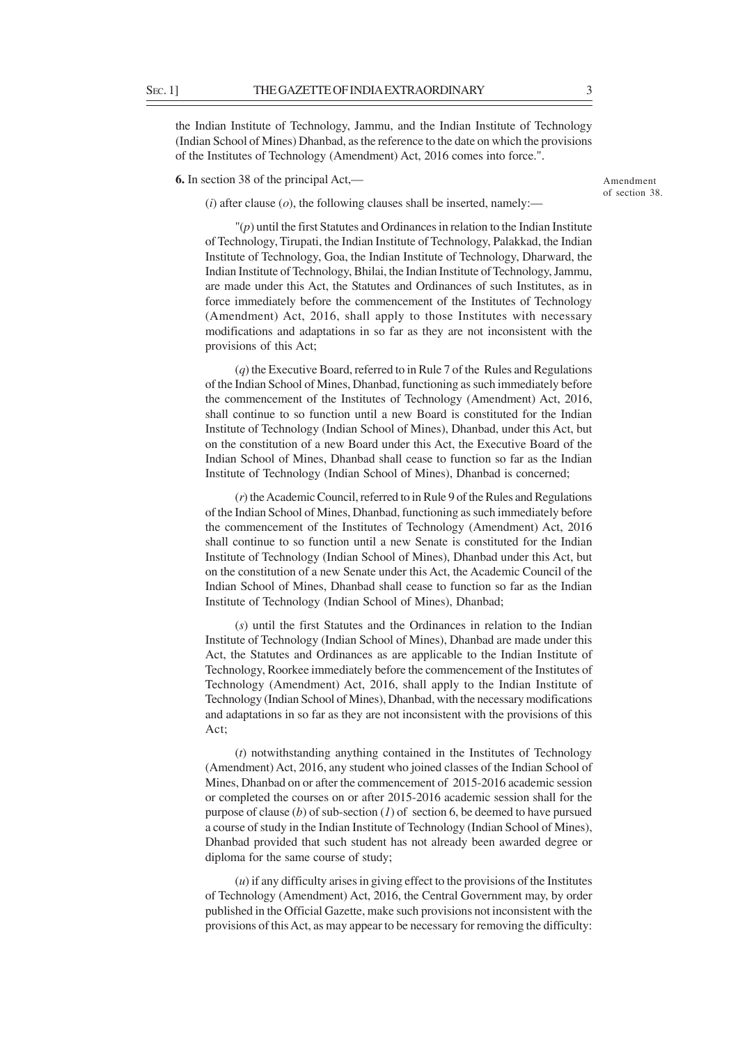the Indian Institute of Technology, Jammu, and the Indian Institute of Technology (Indian School of Mines) Dhanbad, as the reference to the date on which the provisions of the Institutes of Technology (Amendment) Act, 2016 comes into force.".

**6.** In section 38 of the principal Act,—

Amendment of section 38.

 $(i)$  after clause  $(o)$ , the following clauses shall be inserted, namely:—

"(*p*) until the first Statutes and Ordinances in relation to the Indian Institute of Technology, Tirupati, the Indian Institute of Technology, Palakkad, the Indian Institute of Technology, Goa, the Indian Institute of Technology, Dharward, the Indian Institute of Technology, Bhilai, the Indian Institute of Technology, Jammu, are made under this Act, the Statutes and Ordinances of such Institutes, as in force immediately before the commencement of the Institutes of Technology (Amendment) Act, 2016, shall apply to those Institutes with necessary modifications and adaptations in so far as they are not inconsistent with the provisions of this Act;

(*q*) the Executive Board, referred to in Rule 7 of the Rules and Regulations of the Indian School of Mines, Dhanbad, functioning as such immediately before the commencement of the Institutes of Technology (Amendment) Act, 2016, shall continue to so function until a new Board is constituted for the Indian Institute of Technology (Indian School of Mines), Dhanbad, under this Act, but on the constitution of a new Board under this Act, the Executive Board of the Indian School of Mines, Dhanbad shall cease to function so far as the Indian Institute of Technology (Indian School of Mines), Dhanbad is concerned;

(*r*) the Academic Council, referred to in Rule 9 of the Rules and Regulations of the Indian School of Mines, Dhanbad, functioning as such immediately before the commencement of the Institutes of Technology (Amendment) Act, 2016 shall continue to so function until a new Senate is constituted for the Indian Institute of Technology (Indian School of Mines), Dhanbad under this Act, but on the constitution of a new Senate under this Act, the Academic Council of the Indian School of Mines, Dhanbad shall cease to function so far as the Indian Institute of Technology (Indian School of Mines), Dhanbad;

(*s*) until the first Statutes and the Ordinances in relation to the Indian Institute of Technology (Indian School of Mines), Dhanbad are made under this Act, the Statutes and Ordinances as are applicable to the Indian Institute of Technology, Roorkee immediately before the commencement of the Institutes of Technology (Amendment) Act, 2016, shall apply to the Indian Institute of Technology (Indian School of Mines), Dhanbad, with the necessary modifications and adaptations in so far as they are not inconsistent with the provisions of this Act;

(*t*) notwithstanding anything contained in the Institutes of Technology (Amendment) Act, 2016, any student who joined classes of the Indian School of Mines, Dhanbad on or after the commencement of 2015-2016 academic session or completed the courses on or after 2015-2016 academic session shall for the purpose of clause (*b*) of sub-section (*1*) of section 6, be deemed to have pursued a course of study in the Indian Institute of Technology (Indian School of Mines), Dhanbad provided that such student has not already been awarded degree or diploma for the same course of study;

(*u*) if any difficulty arises in giving effect to the provisions of the Institutes of Technology (Amendment) Act, 2016, the Central Government may, by order published in the Official Gazette, make such provisions not inconsistent with the provisions of this Act, as may appear to be necessary for removing the difficulty: